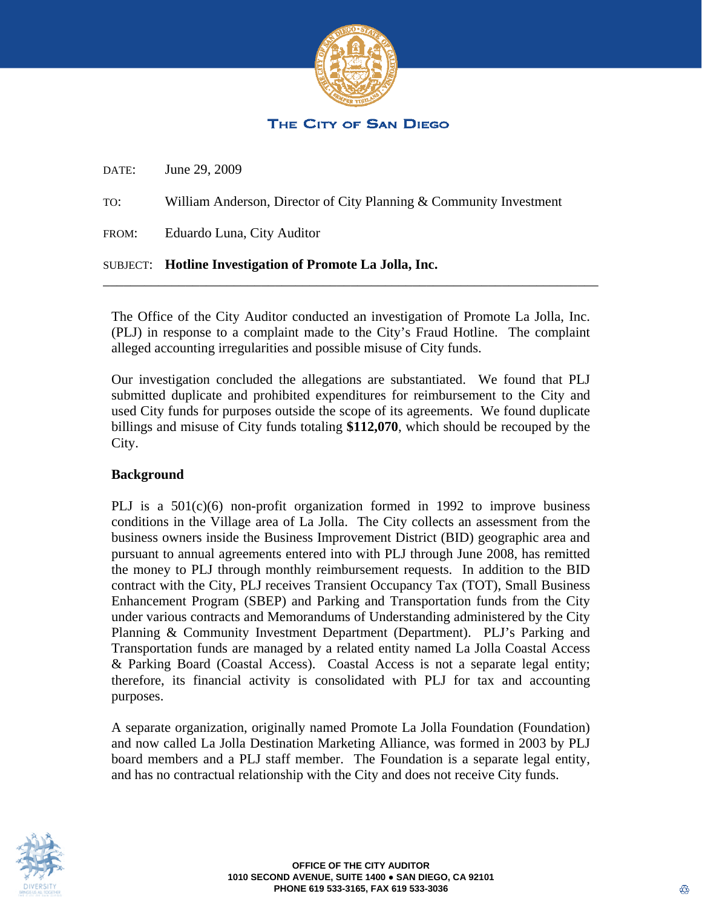

### The City of San Diego

DATE: June 29, 2009

TO: William Anderson, Director of City Planning & Community Investment

FROM: Eduardo Luna, City Auditor

#### SUBJECT: **Hotline Investigation of Promote La Jolla, Inc.**

The Office of the City Auditor conducted an investigation of Promote La Jolla, Inc. (PLJ) in response to a complaint made to the City's Fraud Hotline. The complaint alleged accounting irregularities and possible misuse of City funds.

\_\_\_\_\_\_\_\_\_\_\_\_\_\_\_\_\_\_\_\_\_\_\_\_\_\_\_\_\_\_\_\_\_\_\_\_\_\_\_\_\_\_\_\_\_\_\_\_\_\_\_\_\_\_\_\_\_\_\_\_\_\_\_\_\_\_\_\_\_\_\_\_

Our investigation concluded the allegations are substantiated. We found that PLJ submitted duplicate and prohibited expenditures for reimbursement to the City and used City funds for purposes outside the scope of its agreements. We found duplicate billings and misuse of City funds totaling **\$112,070**, which should be recouped by the City.

#### **Background**

PLJ is a  $501(c)(6)$  non-profit organization formed in 1992 to improve business conditions in the Village area of La Jolla. The City collects an assessment from the business owners inside the Business Improvement District (BID) geographic area and pursuant to annual agreements entered into with PLJ through June 2008, has remitted the money to PLJ through monthly reimbursement requests. In addition to the BID contract with the City, PLJ receives Transient Occupancy Tax (TOT), Small Business Enhancement Program (SBEP) and Parking and Transportation funds from the City under various contracts and Memorandums of Understanding administered by the City Planning & Community Investment Department (Department). PLJ's Parking and Transportation funds are managed by a related entity named La Jolla Coastal Access & Parking Board (Coastal Access). Coastal Access is not a separate legal entity; therefore, its financial activity is consolidated with PLJ for tax and accounting purposes.

A separate organization, originally named Promote La Jolla Foundation (Foundation) and now called La Jolla Destination Marketing Alliance, was formed in 2003 by PLJ board members and a PLJ staff member. The Foundation is a separate legal entity, and has no contractual relationship with the City and does not receive City funds.

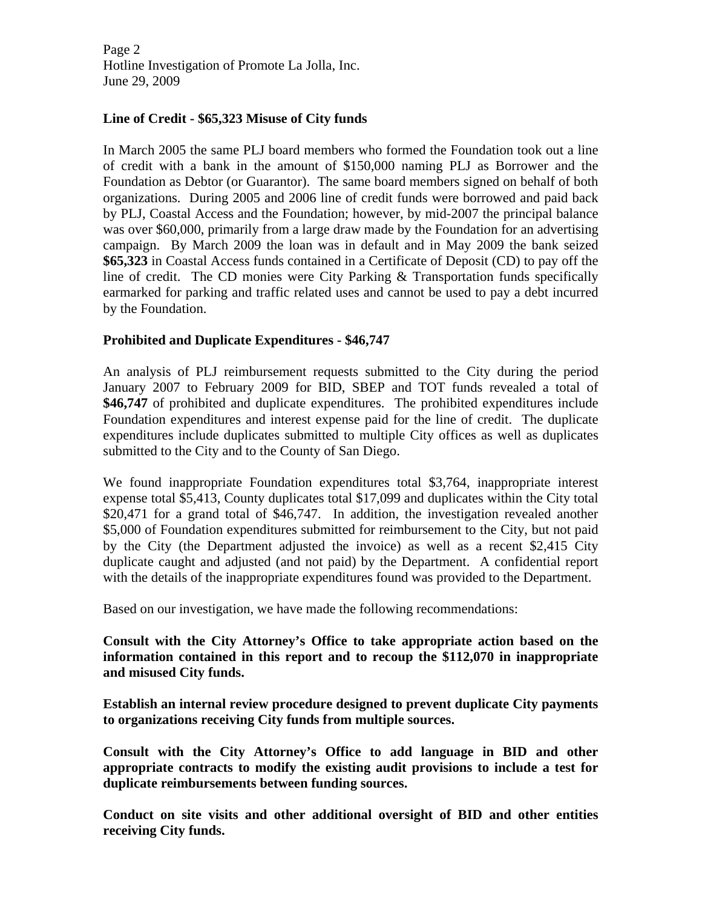Page 2 Hotline Investigation of Promote La Jolla, Inc. June 29, 2009

#### **Line of Credit - \$65,323 Misuse of City funds**

In March 2005 the same PLJ board members who formed the Foundation took out a line of credit with a bank in the amount of \$150,000 naming PLJ as Borrower and the Foundation as Debtor (or Guarantor). The same board members signed on behalf of both organizations. During 2005 and 2006 line of credit funds were borrowed and paid back by PLJ, Coastal Access and the Foundation; however, by mid-2007 the principal balance was over \$60,000, primarily from a large draw made by the Foundation for an advertising campaign. By March 2009 the loan was in default and in May 2009 the bank seized **\$65,323** in Coastal Access funds contained in a Certificate of Deposit (CD) to pay off the line of credit. The CD monies were City Parking & Transportation funds specifically earmarked for parking and traffic related uses and cannot be used to pay a debt incurred by the Foundation.

#### **Prohibited and Duplicate Expenditures - \$46,747**

An analysis of PLJ reimbursement requests submitted to the City during the period January 2007 to February 2009 for BID, SBEP and TOT funds revealed a total of \$46,747 of prohibited and duplicate expenditures. The prohibited expenditures include Foundation expenditures and interest expense paid for the line of credit. The duplicate expenditures include duplicates submitted to multiple City offices as well as duplicates submitted to the City and to the County of San Diego.

We found inappropriate Foundation expenditures total \$3,764, inappropriate interest expense total \$5,413, County duplicates total \$17,099 and duplicates within the City total \$20,471 for a grand total of \$46,747. In addition, the investigation revealed another \$5,000 of Foundation expenditures submitted for reimbursement to the City, but not paid by the City (the Department adjusted the invoice) as well as a recent \$2,415 City duplicate caught and adjusted (and not paid) by the Department. A confidential report with the details of the inappropriate expenditures found was provided to the Department.

Based on our investigation, we have made the following recommendations:

**Consult with the City Attorney's Office to take appropriate action based on the information contained in this report and to recoup the \$112,070 in inappropriate and misused City funds.** 

**Establish an internal review procedure designed to prevent duplicate City payments to organizations receiving City funds from multiple sources.** 

**Consult with the City Attorney's Office to add language in BID and other appropriate contracts to modify the existing audit provisions to include a test for duplicate reimbursements between funding sources.** 

**Conduct on site visits and other additional oversight of BID and other entities receiving City funds.**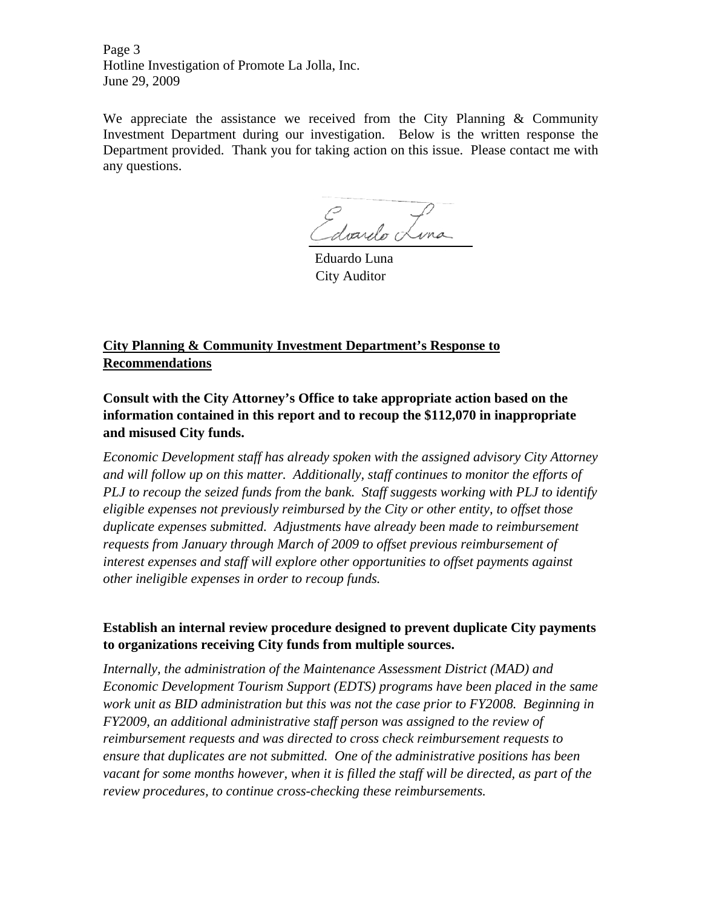Page 3 Hotline Investigation of Promote La Jolla, Inc. June 29, 2009

We appreciate the assistance we received from the City Planning & Community Investment Department during our investigation. Below is the written response the Department provided. Thank you for taking action on this issue. Please contact me with any questions.

Edvardo Lina

Eduardo Luna City Auditor

# **City Planning & Community Investment Department's Response to Recommendations**

**Consult with the City Attorney's Office to take appropriate action based on the information contained in this report and to recoup the \$112,070 in inappropriate and misused City funds.** 

*Economic Development staff has already spoken with the assigned advisory City Attorney and will follow up on this matter. Additionally, staff continues to monitor the efforts of PLJ to recoup the seized funds from the bank. Staff suggests working with PLJ to identify eligible expenses not previously reimbursed by the City or other entity, to offset those duplicate expenses submitted. Adjustments have already been made to reimbursement requests from January through March of 2009 to offset previous reimbursement of interest expenses and staff will explore other opportunities to offset payments against other ineligible expenses in order to recoup funds.* 

### **Establish an internal review procedure designed to prevent duplicate City payments to organizations receiving City funds from multiple sources.**

*Internally, the administration of the Maintenance Assessment District (MAD) and Economic Development Tourism Support (EDTS) programs have been placed in the same work unit as BID administration but this was not the case prior to FY2008. Beginning in FY2009, an additional administrative staff person was assigned to the review of reimbursement requests and was directed to cross check reimbursement requests to ensure that duplicates are not submitted. One of the administrative positions has been vacant for some months however, when it is filled the staff will be directed, as part of the review procedures, to continue cross-checking these reimbursements.*